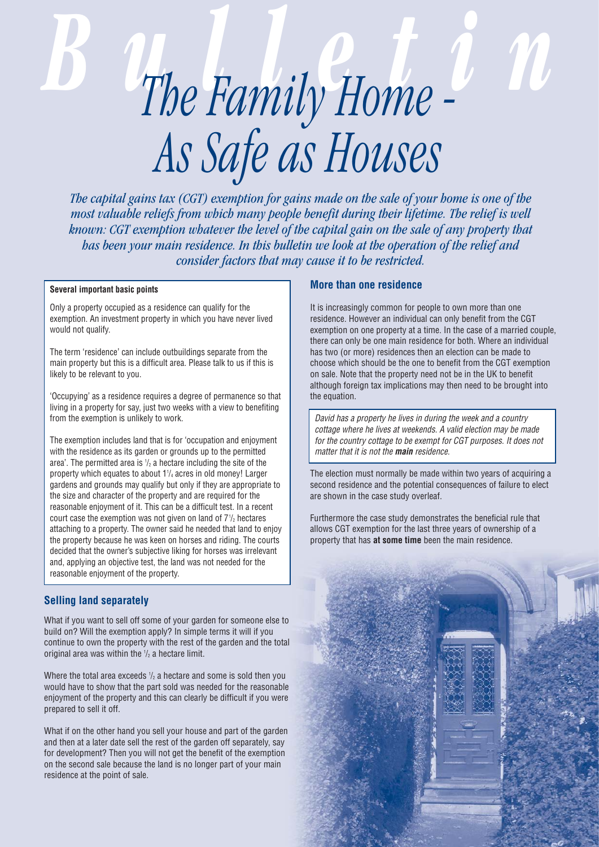# **B** *The Family Home - 20 As Safe as Houses*

*The capital gains tax (CGT) exemption for gains made on the sale of your home is one of the most valuable reliefs from which many people benefit during their lifetime. The relief is well known: CGT exemption whatever the level of the capital gain on the sale of any property that has been your main residence. In this bulletin we look at the operation of the relief and consider factors that may cause it to be restricted.*

## **Several important basic points**

Only a property occupied as a residence can qualify for the exemption. An investment property in which you have never lived would not qualify.

The term 'residence' can include outbuildings separate from the main property but this is a difficult area. Please talk to us if this is likely to be relevant to you.

'Occupying' as a residence requires a degree of permanence so that living in a property for say, just two weeks with a view to benefiting from the exemption is unlikely to work.

The exemption includes land that is for 'occupation and enjoyment with the residence as its garden or grounds up to the permitted area'. The permitted area is  $\mathcal{V}_2$  a hectare including the site of the property which equates to about 11 /4 acres in old money! Larger gardens and grounds may qualify but only if they are appropriate to the size and character of the property and are required for the reasonable enjoyment of it. This can be a difficult test. In a recent court case the exemption was not given on land of  $7\frac{1}{2}$  hectares attaching to a property. The owner said he needed that land to enjoy the property because he was keen on horses and riding. The courts decided that the owner's subjective liking for horses was irrelevant and, applying an objective test, the land was not needed for the reasonable enjoyment of the property.

# **Selling land separately**

What if you want to sell off some of your garden for someone else to build on? Will the exemption apply? In simple terms it will if you continue to own the property with the rest of the garden and the total original area was within the  $\frac{1}{2}$  a hectare limit.

Where the total area exceeds  $\frac{1}{2}$  a hectare and some is sold then you would have to show that the part sold was needed for the reasonable enjoyment of the property and this can clearly be difficult if you were prepared to sell it off.

What if on the other hand you sell your house and part of the garden and then at a later date sell the rest of the garden off separately, say for development? Then you will not get the benefit of the exemption on the second sale because the land is no longer part of your main residence at the point of sale.

# **More than one residence**

It is increasingly common for people to own more than one residence. However an individual can only benefit from the CGT exemption on one property at a time. In the case of a married couple, there can only be one main residence for both. Where an individual has two (or more) residences then an election can be made to choose which should be the one to benefit from the CGT exemption on sale. Note that the property need not be in the UK to benefit although foreign tax implications may then need to be brought into the equation.

David has a property he lives in during the week and a country cottage where he lives at weekends. A valid election may be made for the country cottage to be exempt for CGT purposes. It does not matter that it is not the **main** residence.

The election must normally be made within two years of acquiring a second residence and the potential consequences of failure to elect are shown in the case study overleaf.

Furthermore the case study demonstrates the beneficial rule that allows CGT exemption for the last three years of ownership of a property that has **at some time** been the main residence.